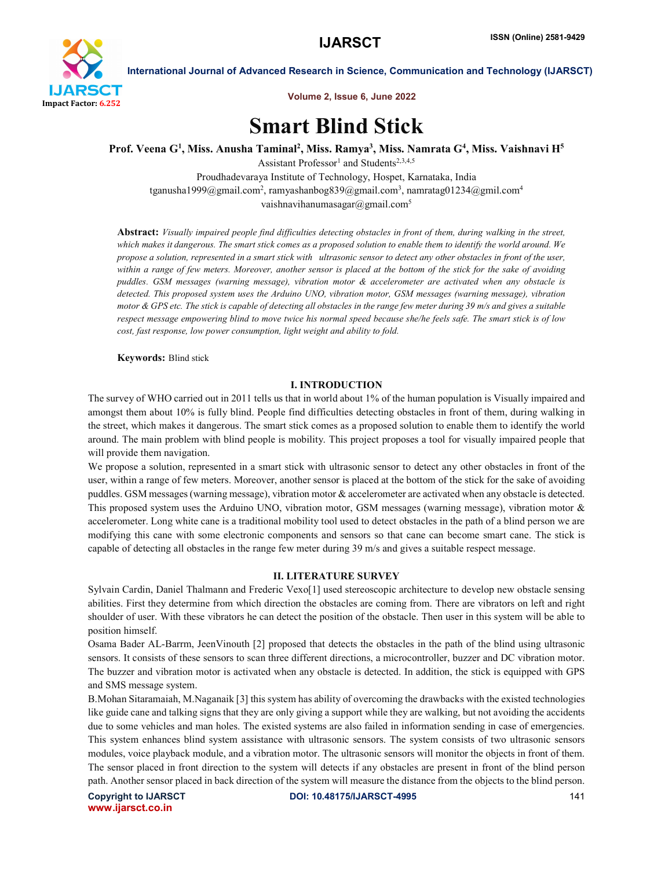

International Journal of Advanced Research in Science, Communication and Technology (IJARSCT)

Volume 2, Issue 6, June 2022

# Smart Blind Stick

Prof. Veena G<sup>1</sup>, Miss. Anusha Taminal<sup>2</sup>, Miss. Ramya<sup>3</sup>, Miss. Namrata G<sup>4</sup>, Miss. Vaishnavi H<sup>5</sup>

Assistant Professor<sup>1</sup> and Students<sup>2,3,4,5</sup> Proudhadevaraya Institute of Technology, Hospet, Karnataka, India tganusha1999@gmail.com<sup>2</sup>, ramyashanbog839@gmail.com<sup>3</sup>, namratag01234@gmil.com<sup>4</sup> vaishnavihanumasagar@gmail.com<sup>5</sup>

Abstract: *Visually impaired people find difficulties detecting obstacles in front of them, during walking in the street, which makes it dangerous. The smart stick comes as a proposed solution to enable them to identify the world around. We propose a solution, represented in a smart stick with ultrasonic sensor to detect any other obstacles in front of the user, within a range of few meters. Moreover, another sensor is placed at the bottom of the stick for the sake of avoiding puddles. GSM messages (warning message), vibration motor & accelerometer are activated when any obstacle is detected. This proposed system uses the Arduino UNO, vibration motor, GSM messages (warning message), vibration motor & GPS etc. The stick is capable of detecting all obstacles in the range few meter during 39 m/s and gives a suitable respect message empowering blind to move twice his normal speed because she/he feels safe. The smart stick is of low cost, fast response, low power consumption, light weight and ability to fold.*

Keywords: Blind stick

# I. INTRODUCTION

The survey of WHO carried out in 2011 tells us that in world about 1% of the human population is Visually impaired and amongst them about 10% is fully blind. People find difficulties detecting obstacles in front of them, during walking in the street, which makes it dangerous. The smart stick comes as a proposed solution to enable them to identify the world around. The main problem with blind people is mobility. This project proposes a tool for visually impaired people that will provide them navigation.

We propose a solution, represented in a smart stick with ultrasonic sensor to detect any other obstacles in front of the user, within a range of few meters. Moreover, another sensor is placed at the bottom of the stick for the sake of avoiding puddles. GSM messages (warning message), vibration motor & accelerometer are activated when any obstacle is detected. This proposed system uses the Arduino UNO, vibration motor, GSM messages (warning message), vibration motor & accelerometer. Long white cane is a traditional mobility tool used to detect obstacles in the path of a blind person we are modifying this cane with some electronic components and sensors so that cane can become smart cane. The stick is capable of detecting all obstacles in the range few meter during 39 m/s and gives a suitable respect message.

# II. LITERATURE SURVEY

Sylvain Cardin, Daniel Thalmann and Frederic Vexo[1] used stereoscopic architecture to develop new obstacle sensing abilities. First they determine from which direction the obstacles are coming from. There are vibrators on left and right shoulder of user. With these vibrators he can detect the position of the obstacle. Then user in this system will be able to position himself.

Osama Bader AL-Barrm, JeenVinouth [2] proposed that detects the obstacles in the path of the blind using ultrasonic sensors. It consists of these sensors to scan three different directions, a microcontroller, buzzer and DC vibration motor. The buzzer and vibration motor is activated when any obstacle is detected. In addition, the stick is equipped with GPS and SMS message system.

B.Mohan Sitaramaiah, M.Naganaik [3] this system has ability of overcoming the drawbacks with the existed technologies like guide cane and talking signs that they are only giving a support while they are walking, but not avoiding the accidents due to some vehicles and man holes. The existed systems are also failed in information sending in case of emergencies. This system enhances blind system assistance with ultrasonic sensors. The system consists of two ultrasonic sensors modules, voice playback module, and a vibration motor. The ultrasonic sensors will monitor the objects in front of them. The sensor placed in front direction to the system will detects if any obstacles are present in front of the blind person path. Another sensor placed in back direction of the system will measure the distance from the objects to the blind person.

www.ijarsct.co.in

Copyright to IJARSCT **DOI: 10.48175/IJARSCT-4995** 141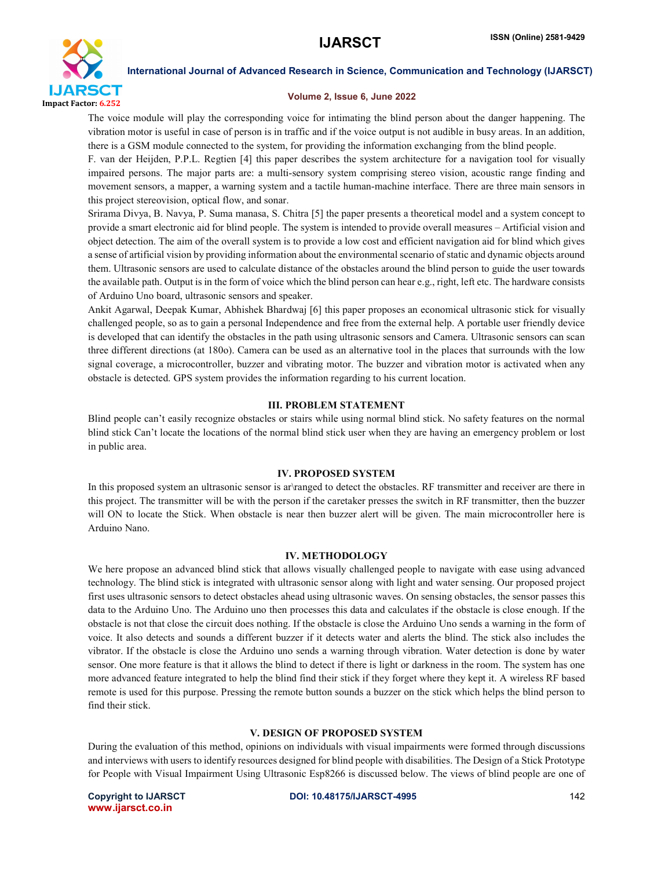

International Journal of Advanced Research in Science, Communication and Technology (IJARSCT)

## Volume 2, Issue 6, June 2022

The voice module will play the corresponding voice for intimating the blind person about the danger happening. The vibration motor is useful in case of person is in traffic and if the voice output is not audible in busy areas. In an addition, there is a GSM module connected to the system, for providing the information exchanging from the blind people.

F. van der Heijden, P.P.L. Regtien [4] this paper describes the system architecture for a navigation tool for visually impaired persons. The major parts are: a multi-sensory system comprising stereo vision, acoustic range finding and movement sensors, a mapper, a warning system and a tactile human-machine interface. There are three main sensors in this project stereovision, optical flow, and sonar.

Srirama Divya, B. Navya, P. Suma manasa, S. Chitra [5] the paper presents a theoretical model and a system concept to provide a smart electronic aid for blind people. The system is intended to provide overall measures – Artificial vision and object detection. The aim of the overall system is to provide a low cost and efficient navigation aid for blind which gives a sense of artificial vision by providing information about the environmental scenario of static and dynamic objects around them. Ultrasonic sensors are used to calculate distance of the obstacles around the blind person to guide the user towards the available path. Output is in the form of voice which the blind person can hear e.g., right, left etc. The hardware consists of Arduino Uno board, ultrasonic sensors and speaker.

Ankit Agarwal, Deepak Kumar, Abhishek Bhardwaj [6] this paper proposes an economical ultrasonic stick for visually challenged people, so as to gain a personal Independence and free from the external help. A portable user friendly device is developed that can identify the obstacles in the path using ultrasonic sensors and Camera. Ultrasonic sensors can scan three different directions (at 180o). Camera can be used as an alternative tool in the places that surrounds with the low signal coverage, a microcontroller, buzzer and vibrating motor. The buzzer and vibration motor is activated when any obstacle is detected. GPS system provides the information regarding to his current location.

# III. PROBLEM STATEMENT

Blind people can't easily recognize obstacles or stairs while using normal blind stick. No safety features on the normal blind stick Can't locate the locations of the normal blind stick user when they are having an emergency problem or lost in public area.

# IV. PROPOSED SYSTEM

In this proposed system an ultrasonic sensor is ar\ranged to detect the obstacles. RF transmitter and receiver are there in this project. The transmitter will be with the person if the caretaker presses the switch in RF transmitter, then the buzzer will ON to locate the Stick. When obstacle is near then buzzer alert will be given. The main microcontroller here is Arduino Nano.

# IV. METHODOLOGY

We here propose an advanced blind stick that allows visually challenged people to navigate with ease using advanced technology. The blind stick is integrated with ultrasonic sensor along with light and water sensing. Our proposed project first uses ultrasonic sensors to detect obstacles ahead using ultrasonic waves. On sensing obstacles, the sensor passes this data to the Arduino Uno. The Arduino uno then processes this data and calculates if the obstacle is close enough. If the obstacle is not that close the circuit does nothing. If the obstacle is close the Arduino Uno sends a warning in the form of voice. It also detects and sounds a different buzzer if it detects water and alerts the blind. The stick also includes the vibrator. If the obstacle is close the Arduino uno sends a warning through vibration. Water detection is done by water sensor. One more feature is that it allows the blind to detect if there is light or darkness in the room. The system has one more advanced feature integrated to help the blind find their stick if they forget where they kept it. A wireless RF based remote is used for this purpose. Pressing the remote button sounds a buzzer on the stick which helps the blind person to find their stick.

# V. DESIGN OF PROPOSED SYSTEM

During the evaluation of this method, opinions on individuals with visual impairments were formed through discussions and interviews with users to identify resources designed for blind people with disabilities. The Design of a Stick Prototype for People with Visual Impairment Using Ultrasonic Esp8266 is discussed below. The views of blind people are one of

www.ijarsct.co.in

#### Copyright to IJARSCT **DOI: 10.48175/IJARSCT-4995** 142